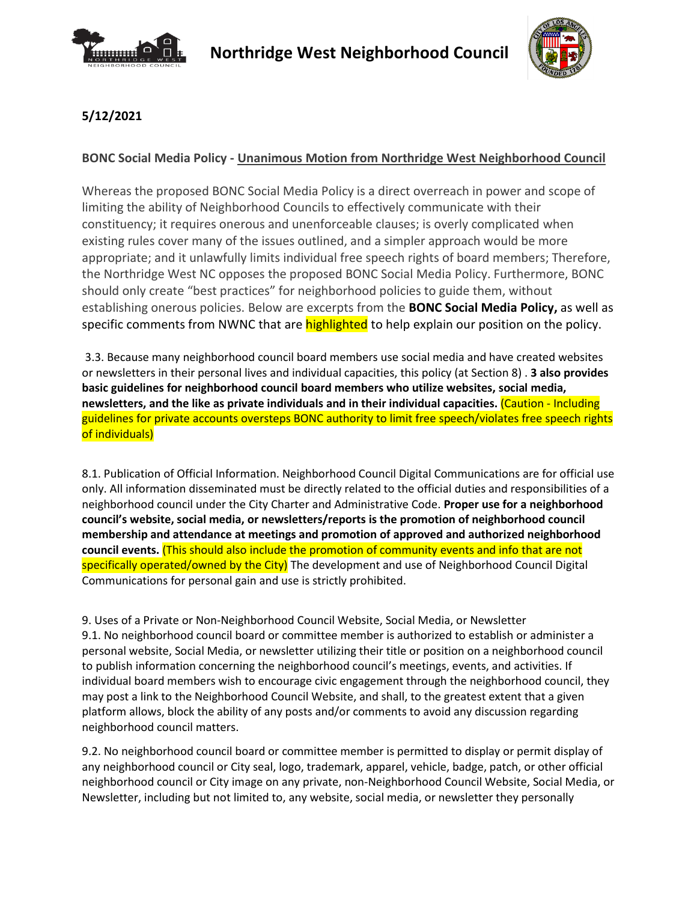



## **5/12/2021**

## **BONC Social Media Policy - Unanimous Motion from Northridge West Neighborhood Council**

Whereas the proposed BONC Social Media Policy is a direct overreach in power and scope of limiting the ability of Neighborhood Councils to effectively communicate with their constituency; it requires onerous and unenforceable clauses; is overly complicated when existing rules cover many of the issues outlined, and a simpler approach would be more appropriate; and it unlawfully limits individual free speech rights of board members; Therefore, the Northridge West NC opposes the proposed BONC Social Media Policy. Furthermore, BONC should only create "best practices" for neighborhood policies to guide them, without establishing onerous policies. Below are excerpts from the **BONC Social Media Policy,** as well as specific comments from NWNC that are **highlighted** to help explain our position on the policy.

3.3. Because many neighborhood council board members use social media and have created websites or newsletters in their personal lives and individual capacities, this policy (at Section 8) . **3 also provides basic guidelines for neighborhood council board members who utilize websites, social media, newsletters, and the like as private individuals and in their individual capacities.** (Caution - Including guidelines for private accounts oversteps BONC authority to limit free speech/violates free speech rights of individuals)

8.1. Publication of Official Information. Neighborhood Council Digital Communications are for official use only. All information disseminated must be directly related to the official duties and responsibilities of a neighborhood council under the City Charter and Administrative Code. **Proper use for a neighborhood council's website, social media, or newsletters/reports is the promotion of neighborhood council membership and attendance at meetings and promotion of approved and authorized neighborhood council events.** (This should also include the promotion of community events and info that are not specifically operated/owned by the City) The development and use of Neighborhood Council Digital Communications for personal gain and use is strictly prohibited.

9. Uses of a Private or Non-Neighborhood Council Website, Social Media, or Newsletter 9.1. No neighborhood council board or committee member is authorized to establish or administer a personal website, Social Media, or newsletter utilizing their title or position on a neighborhood council to publish information concerning the neighborhood council's meetings, events, and activities. If individual board members wish to encourage civic engagement through the neighborhood council, they may post a link to the Neighborhood Council Website, and shall, to the greatest extent that a given platform allows, block the ability of any posts and/or comments to avoid any discussion regarding neighborhood council matters.

9.2. No neighborhood council board or committee member is permitted to display or permit display of any neighborhood council or City seal, logo, trademark, apparel, vehicle, badge, patch, or other official neighborhood council or City image on any private, non-Neighborhood Council Website, Social Media, or Newsletter, including but not limited to, any website, social media, or newsletter they personally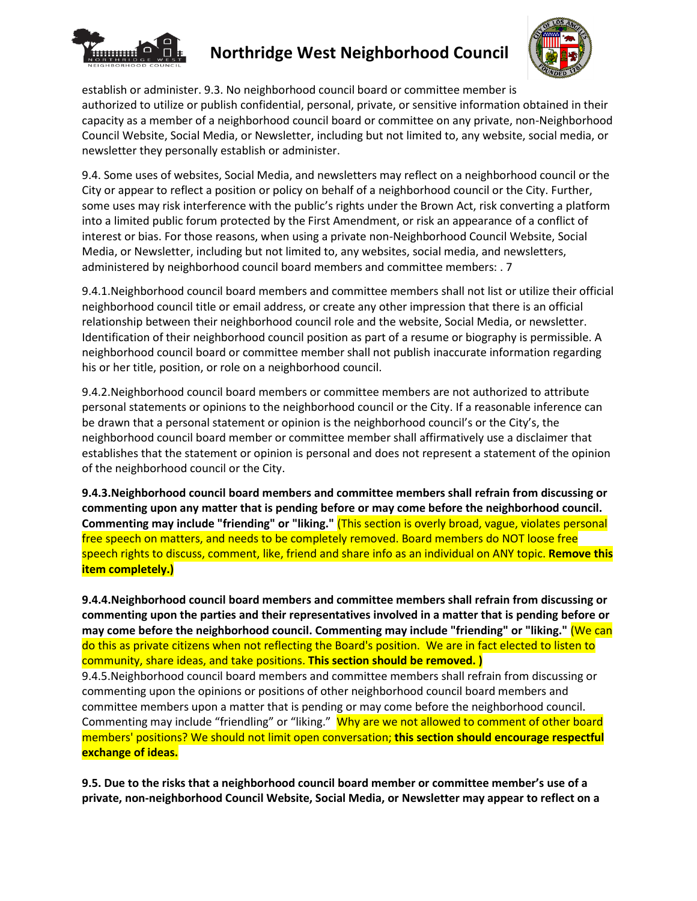

## **Northridge West Neighborhood Council**



establish or administer. 9.3. No neighborhood council board or committee member is authorized to utilize or publish confidential, personal, private, or sensitive information obtained in their capacity as a member of a neighborhood council board or committee on any private, non-Neighborhood Council Website, Social Media, or Newsletter, including but not limited to, any website, social media, or newsletter they personally establish or administer.

9.4. Some uses of websites, Social Media, and newsletters may reflect on a neighborhood council or the City or appear to reflect a position or policy on behalf of a neighborhood council or the City. Further, some uses may risk interference with the public's rights under the Brown Act, risk converting a platform into a limited public forum protected by the First Amendment, or risk an appearance of a conflict of interest or bias. For those reasons, when using a private non-Neighborhood Council Website, Social Media, or Newsletter, including but not limited to, any websites, social media, and newsletters, administered by neighborhood council board members and committee members: . 7

9.4.1.Neighborhood council board members and committee members shall not list or utilize their official neighborhood council title or email address, or create any other impression that there is an official relationship between their neighborhood council role and the website, Social Media, or newsletter. Identification of their neighborhood council position as part of a resume or biography is permissible. A neighborhood council board or committee member shall not publish inaccurate information regarding his or her title, position, or role on a neighborhood council.

9.4.2.Neighborhood council board members or committee members are not authorized to attribute personal statements or opinions to the neighborhood council or the City. If a reasonable inference can be drawn that a personal statement or opinion is the neighborhood council's or the City's, the neighborhood council board member or committee member shall affirmatively use a disclaimer that establishes that the statement or opinion is personal and does not represent a statement of the opinion of the neighborhood council or the City.

**9.4.3.Neighborhood council board members and committee members shall refrain from discussing or commenting upon any matter that is pending before or may come before the neighborhood council. Commenting may include "friending" or "liking."** (This section is overly broad, vague, violates personal free speech on matters, and needs to be completely removed. Board members do NOT loose free speech rights to discuss, comment, like, friend and share info as an individual on ANY topic. **Remove this item completely.)**

**9.4.4.Neighborhood council board members and committee members shall refrain from discussing or commenting upon the parties and their representatives involved in a matter that is pending before or may come before the neighborhood council. Commenting may include "friending" or "liking."** (We can do this as private citizens when not reflecting the Board's position. We are in fact elected to listen to community, share ideas, and take positions. **This section should be removed. )**

9.4.5.Neighborhood council board members and committee members shall refrain from discussing or commenting upon the opinions or positions of other neighborhood council board members and committee members upon a matter that is pending or may come before the neighborhood council. Commenting may include "friendling" or "liking." Why are we not allowed to comment of other board members' positions? We should not limit open conversation; **this section should encourage respectful exchange of ideas.**

**9.5. Due to the risks that a neighborhood council board member or committee member's use of a private, non-neighborhood Council Website, Social Media, or Newsletter may appear to reflect on a**